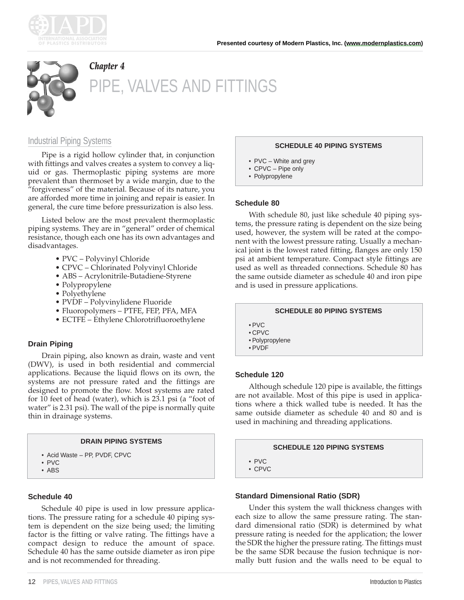



# *Chapter 4* PIPE, VALVES AND FITTINGS

# Industrial Piping Systems

Pipe is a rigid hollow cylinder that, in conjunction with fittings and valves creates a system to convey a liquid or gas. Thermoplastic piping systems are more prevalent than thermoset by a wide margin, due to the "forgiveness" of the material. Because of its nature, you are afforded more time in joining and repair is easier. In general, the cure time before pressurization is also less.

Listed below are the most prevalent thermoplastic piping systems. They are in "general" order of chemical resistance, though each one has its own advantages and disadvantages.

- PVC Polyvinyl Chloride
- CPVC Chlorinated Polyvinyl Chloride
- ABS Acrylonitrile-Butadiene-Styrene
- Polypropylene
- Polyethylene
- PVDF Polyvinylidene Fluoride
- Fluoropolymers PTFE, FEP, PFA, MFA
- ECTFE Ethylene Chlorotrifluoroethylene

# **Drain Piping**

Drain piping, also known as drain, waste and vent (DWV), is used in both residential and commercial applications. Because the liquid flows on its own, the systems are not pressure rated and the fittings are designed to promote the flow. Most systems are rated for 10 feet of head (water), which is 23.1 psi (a "foot of water" is 2.31 psi). The wall of the pipe is normally quite thin in drainage systems.

#### **DRAIN PIPING SYSTEMS**

- Acid Waste PP, PVDF, CPVC
- PVC
- ABS

# **Schedule 40**

Schedule 40 pipe is used in low pressure applications. The pressure rating for a schedule 40 piping system is dependent on the size being used; the limiting factor is the fitting or valve rating. The fittings have a compact design to reduce the amount of space. Schedule 40 has the same outside diameter as iron pipe and is not recommended for threading.

#### **SCHEDULE 40 PIPING SYSTEMS**

- PVC White and grey
- CPVC Pipe only
- Polypropylene

#### **Schedule 80**

With schedule 80, just like schedule 40 piping systems, the pressure rating is dependent on the size being used, however, the system will be rated at the component with the lowest pressure rating. Usually a mechanical joint is the lowest rated fitting, flanges are only 150 psi at ambient temperature. Compact style fittings are used as well as threaded connections. Schedule 80 has the same outside diameter as schedule 40 and iron pipe and is used in pressure applications.

#### **SCHEDULE 80 PIPING SYSTEMS**

- PVC
- CPVC
- Polypropylene
- PVDF

# **Schedule 120**

Although schedule 120 pipe is available, the fittings are not available. Most of this pipe is used in applications where a thick walled tube is needed. It has the same outside diameter as schedule 40 and 80 and is used in machining and threading applications.

#### **SCHEDULE 120 PIPING SYSTEMS**

• PVC

• CPVC

# **Standard Dimensional Ratio (SDR)**

Under this system the wall thickness changes with each size to allow the same pressure rating. The standard dimensional ratio (SDR) is determined by what pressure rating is needed for the application; the lower the SDR the higher the pressure rating. The fittings must be the same SDR because the fusion technique is normally butt fusion and the walls need to be equal to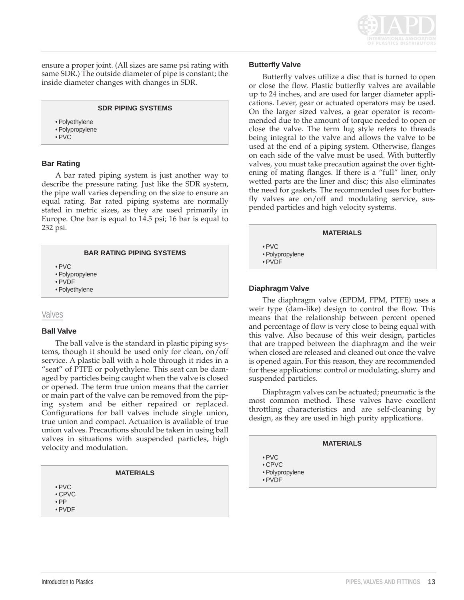

ensure a proper joint. (All sizes are same psi rating with same SDR.) The outside diameter of pipe is constant; the inside diameter changes with changes in SDR.

• Polyethylene

• Polypropylene

• PVC

# **Bar Rating**

A bar rated piping system is just another way to describe the pressure rating. Just like the SDR system, the pipe wall varies depending on the size to ensure an equal rating. Bar rated piping systems are normally stated in metric sizes, as they are used primarily in Europe. One bar is equal to 14.5 psi; 16 bar is equal to 232 psi.

# **BAR RATING PIPING SYSTEMS**

- PVC
- Polypropylene
- PVDF
- Polyethylene

# Valves

# **Ball Valve**

The ball valve is the standard in plastic piping systems, though it should be used only for clean, on/off service. A plastic ball with a hole through it rides in a "seat" of PTFE or polyethylene. This seat can be damaged by particles being caught when the valve is closed or opened. The term true union means that the carrier or main part of the valve can be removed from the piping system and be either repaired or replaced. Configurations for ball valves include single union, true union and compact. Actuation is available of true union valves. Precautions should be taken in using ball valves in situations with suspended particles, high velocity and modulation.

# • PVC

- CPVC
- PP • PVDF

# **Butterfly Valve**

Butterfly valves utilize a disc that is turned to open or close the flow. Plastic butterfly valves are available up to 24 inches, and are used for larger diameter applications. Lever, gear or actuated operators may be used. On the larger sized valves, a gear operator is recommended due to the amount of torque needed to open or close the valve. The term lug style refers to threads being integral to the valve and allows the valve to be used at the end of a piping system. Otherwise, flanges on each side of the valve must be used. With butterfly valves, you must take precaution against the over tightening of mating flanges. If there is a "full" liner, only wetted parts are the liner and disc; this also eliminates the need for gaskets. The recommended uses for butterfly valves are on/off and modulating service, suspended particles and high velocity systems.



# **Diaphragm Valve**

The diaphragm valve (EPDM, FPM, PTFE) uses a weir type (dam-like) design to control the flow. This means that the relationship between percent opened and percentage of flow is very close to being equal with this valve. Also because of this weir design, particles that are trapped between the diaphragm and the weir when closed are released and cleaned out once the valve is opened again. For this reason, they are recommended for these applications: control or modulating, slurry and suspended particles.

Diaphragm valves can be actuated; pneumatic is the most common method. These valves have excellent throttling characteristics and are self-cleaning by design, as they are used in high purity applications.

# **MATERIALS**

- PVC
	- CPVC
- Polypropylene • PVDF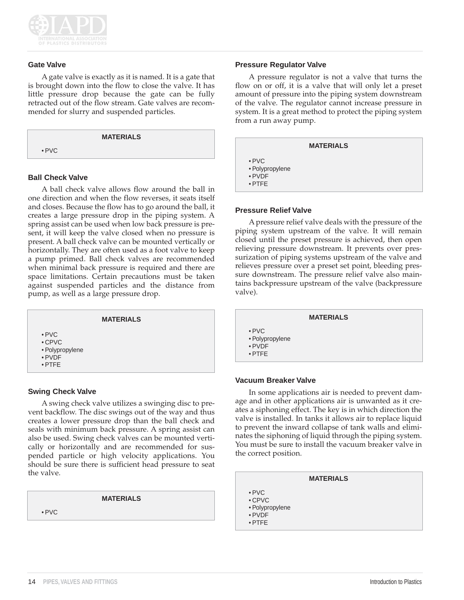

#### **Gate Valve**

A gate valve is exactly as it is named. It is a gate that is brought down into the flow to close the valve. It has little pressure drop because the gate can be fully retracted out of the flow stream. Gate valves are recommended for slurry and suspended particles.

|             | <b>MATERIALS</b> |  |
|-------------|------------------|--|
| $\cdot$ PVC |                  |  |

# **Ball Check Valve**

A ball check valve allows flow around the ball in one direction and when the flow reverses, it seats itself and closes. Because the flow has to go around the ball, it creates a large pressure drop in the piping system. A spring assist can be used when low back pressure is present, it will keep the valve closed when no pressure is present. A ball check valve can be mounted vertically or horizontally. They are often used as a foot valve to keep a pump primed. Ball check valves are recommended when minimal back pressure is required and there are space limitations. Certain precautions must be taken against suspended particles and the distance from pump, as well as a large pressure drop.



# **Swing Check Valve**

A swing check valve utilizes a swinging disc to prevent backflow. The disc swings out of the way and thus creates a lower pressure drop than the ball check and seals with minimum back pressure. A spring assist can also be used. Swing check valves can be mounted vertically or horizontally and are recommended for suspended particle or high velocity applications. You should be sure there is sufficient head pressure to seat the valve.

#### **MATERIALS**

• PVC

#### **Pressure Regulator Valve**

A pressure regulator is not a valve that turns the flow on or off, it is a valve that will only let a preset amount of pressure into the piping system downstream of the valve. The regulator cannot increase pressure in system. It is a great method to protect the piping system from a run away pump.

| <b>MATERIALS</b>                                                   |
|--------------------------------------------------------------------|
| $\cdot$ PVC<br>• Polypropylene<br>$\bullet$ PVDF<br>$\bullet$ PTFF |

#### **Pressure Relief Valve**

A pressure relief valve deals with the pressure of the piping system upstream of the valve. It will remain closed until the preset pressure is achieved, then open relieving pressure downstream. It prevents over pressurization of piping systems upstream of the valve and relieves pressure over a preset set point, bleeding pressure downstream. The pressure relief valve also maintains backpressure upstream of the valve (backpressure valve).

|                                                                    | <b>MATERIALS</b> |  |
|--------------------------------------------------------------------|------------------|--|
| $\cdot$ PVC<br>• Polypropylene<br>$\bullet$ PVDF<br>$\bullet$ PTFE |                  |  |

#### **Vacuum Breaker Valve**

In some applications air is needed to prevent damage and in other applications air is unwanted as it creates a siphoning effect. The key is in which direction the valve is installed. In tanks it allows air to replace liquid to prevent the inward collapse of tank walls and eliminates the siphoning of liquid through the piping system. You must be sure to install the vacuum breaker valve in the correct position.

|                                       | <b>MATERIALS</b> |  |
|---------------------------------------|------------------|--|
| $\bullet$ PVC                         |                  |  |
| $\cdot$ CPVC                          |                  |  |
| المتعاطف والمتحدث والمتاريخ والمحالات |                  |  |

- Polypropylene
- PVDF

• PTFE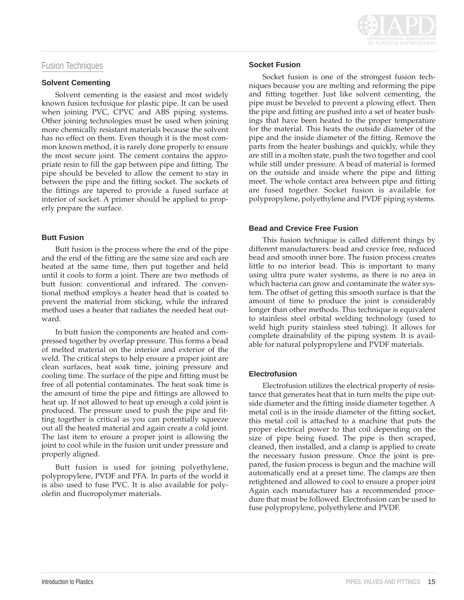# Fusion Techniques

#### **Solvent Cementing**

Solvent cementing is the easiest and most widely known fusion technique for plastic pipe. It can be used when joining PVC, CPVC and ABS piping systems. Other joining technologies must be used when joining more chemically resistant materials because the solvent has no effect on them. Even though it is the most common known method, it is rarely done properly to ensure the most secure joint. The cement contains the appropriate resin to fill the gap between pipe and fitting. The pipe should be beveled to allow the cement to stay in between the pipe and the fitting socket. The sockets of the fittings are tapered to provide a fused surface at interior of socket. A primer should be applied to properly prepare the surface.

# **Butt Fusion**

Butt fusion is the process where the end of the pipe and the end of the fitting are the same size and each are heated at the same time, then put together and held until it cools to form a joint. There are two methods of butt fusion: conventional and infrared. The conventional method employs a heater head that is coated to prevent the material from sticking, while the infrared method uses a heater that radiates the needed heat outward.

In butt fusion the components are heated and compressed together by overlap pressure. This forms a bead of melted material on the interior and exterior of the weld. The critical steps to help ensure a proper joint are clean surfaces, heat soak time, joining pressure and cooling time. The surface of the pipe and fitting must be free of all potential contaminates. The heat soak time is the amount of time the pipe and fittings are allowed to heat up. If not allowed to heat up enough a cold joint is produced. The pressure used to push the pipe and fitting together is critical as you can potentially squeeze out all the heated material and again create a cold joint. The last item to ensure a proper joint is allowing the joint to cool while in the fusion unit under pressure and properly aligned.

Butt fusion is used for joining polyethylene, polypropylene, PVDF and PFA. In parts of the world it is also used to fuse PVC. It is also available for polyolefin and fluoropolymer materials.



# **Socket Fusion**

Socket fusion is one of the strongest fusion techniques because you are melting and reforming the pipe and fitting together. Just like solvent cementing, the pipe must be beveled to prevent a plowing effect. Then the pipe and fitting are pushed into a set of heater bushings that have been heated to the proper temperature for the material. This heats the outside diameter of the pipe and the inside diameter of the fitting. Remove the parts from the heater bushings and quickly, while they are still in a molten state, push the two together and cool while still under pressure. A bead of material is formed on the outside and inside where the pipe and fitting meet. The whole contact area between pipe and fitting are fused together. Socket fusion is available for polypropylene, polyethylene and PVDF piping systems.

# **Bead and Crevice Free Fusion**

This fusion technique is called different things by different manufacturers: bead and crevice free, reduced bead and smooth inner bore. The fusion process creates little to no interior bead. This is important to many using ultra pure water systems, as there is no area in which bacteria can grow and contaminate the water system. The offset of getting this smooth surface is that the amount of time to produce the joint is considerably longer than other methods. This technique is equivalent to stainless steel orbital welding technology (used to weld high purity stainless steel tubing). It allows for complete drainability of the piping system. It is available for natural polypropylene and PVDF materials.

# **Electrofusion**

Electrofusion utilizes the electrical property of resistance that generates heat that in turn melts the pipe outside diameter and the fitting inside diameter together. A metal coil is in the inside diameter of the fitting socket, this metal coil is attached to a machine that puts the proper electrical power to that coil depending on the size of pipe being fused. The pipe is then scraped, cleaned, then installed, and a clamp is applied to create the necessary fusion pressure. Once the joint is prepared, the fusion process is begun and the machine will automatically end at a preset time. The clamps are then retightened and allowed to cool to ensure a proper joint Again each manufacturer has a recommended procedure that must be followed. Electrofusion can be used to fuse polypropylene, polyethylene and PVDF.